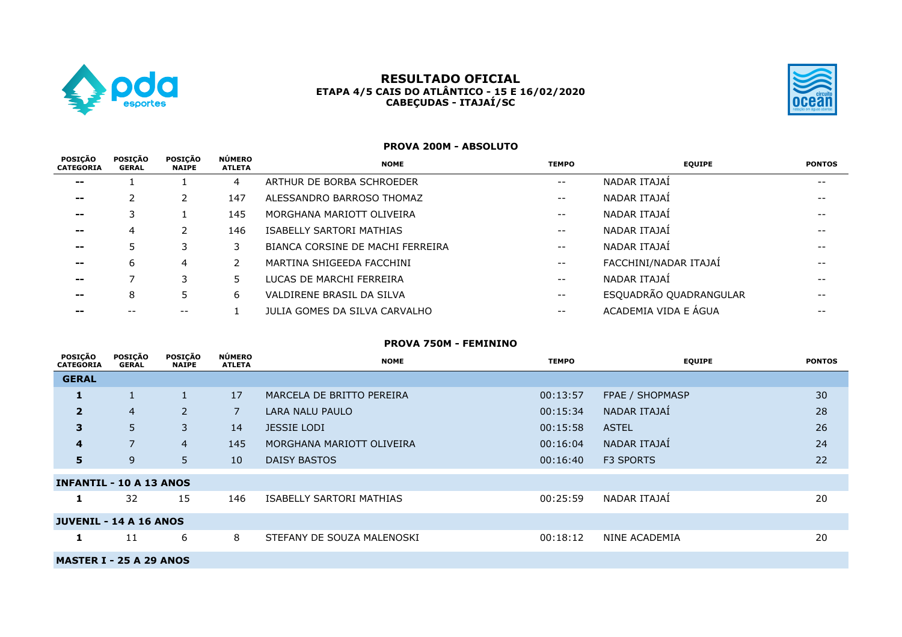

# **RESULTADO OFICIAL ETAPA 4/5 CAIS DO ATLÂNTICO - 15 E 16/02/2020 CABEÇUDAS - ITAJAÍ/SC**



#### **PROVA 200M - ABSOLUTO**

| POSIÇÃO<br><b>CATEGORIA</b> | <b>POSICÃO</b><br><b>GERAL</b> | POSICÃO<br><b>NAIPE</b> | <b>NÚMERO</b><br><b>ATLETA</b> | <b>NOME</b>                      | <b>TEMPO</b>             | <b>EQUIPE</b>          | <b>PONTOS</b> |
|-----------------------------|--------------------------------|-------------------------|--------------------------------|----------------------------------|--------------------------|------------------------|---------------|
| $\sim$ $\sim$               |                                |                         | 4                              | ARTHUR DE BORBA SCHROEDER        | $- -$                    | NADAR ITAJAİ           | $- -$         |
| $\sim$ $\sim$               |                                |                         | 147                            | ALESSANDRO BARROSO THOMAZ        | $- -$                    | NADAR ITAJAİ           |               |
| $\sim$ $\sim$               |                                |                         | 145                            | MORGHANA MARIOTT OLIVEIRA        | $- -$                    | NADAR ITAJAÍ           |               |
| $\sim$ $\sim$               |                                |                         | 146                            | ISABELLY SARTORI MATHIAS         | $ -$                     | NADAR ITAJAÍ           |               |
| --                          |                                |                         |                                | BIANCA CORSINE DE MACHI FERREIRA | $- -$                    | NADAR ITAJAÍ           |               |
| $\sim$ $\sim$               | 6                              | 4                       |                                | MARTINA SHIGEEDA FACCHINI        | $\overline{\phantom{m}}$ | FACCHINI/NADAR ITAJAÍ  |               |
| $\sim$ $\sim$               |                                |                         |                                | LUCAS DE MARCHI FERREIRA         | $- -$                    | NADAR ITAJAÍ           |               |
| $- -$                       | 8                              |                         | 6                              | VALDIRENE BRASIL DA SILVA        | $- -$                    | ESQUADRÃO QUADRANGULAR |               |
|                             |                                |                         |                                | JULIA GOMES DA SILVA CARVALHO    | $- -$                    | ACADEMIA VIDA E ÁGUA   | $- -$         |

# **PROVA 750M - FEMININO**

| POSIÇÃO<br><b>CATEGORIA</b>    | POSIÇÃO<br><b>GERAL</b> | <b>POSICÃO</b><br><b>NAIPE</b> | <b>NÚMERO</b><br><b>ATLETA</b> | <b>NOME</b>                | <b>TEMPO</b> | <b>EQUIPE</b>    | <b>PONTOS</b> |
|--------------------------------|-------------------------|--------------------------------|--------------------------------|----------------------------|--------------|------------------|---------------|
| <b>GERAL</b>                   |                         |                                |                                |                            |              |                  |               |
| 1                              |                         |                                | 17                             | MARCELA DE BRITTO PEREIRA  | 00:13:57     | FPAE / SHOPMASP  | 30            |
| $\overline{2}$                 | $\overline{4}$          | $\overline{2}$                 | $\overline{7}$                 | LARA NALU PAULO            | 00:15:34     | NADAR ITAJAÍ     | 28            |
| 3                              | 5                       | 3                              | 14                             | <b>JESSIE LODI</b>         | 00:15:58     | <b>ASTEL</b>     | 26            |
| 4                              | 7                       | $\overline{4}$                 | 145                            | MORGHANA MARIOTT OLIVEIRA  | 00:16:04     | NADAR ITAJAÍ     | 24            |
| 5                              | 9                       | 5                              | 10 <sup>°</sup>                | DAISY BASTOS               | 00:16:40     | <b>F3 SPORTS</b> | 22            |
| <b>INFANTIL - 10 A 13 ANOS</b> |                         |                                |                                |                            |              |                  |               |
| 1                              | 32                      | 15                             | 146                            | ISABELLY SARTORI MATHIAS   | 00:25:59     | NADAR ITAJAİ     | 20            |
| <b>JUVENIL - 14 A 16 ANOS</b>  |                         |                                |                                |                            |              |                  |               |
| 1                              | 11                      | 6                              | 8                              | STEFANY DE SOUZA MALENOSKI | 00:18:12     | NINE ACADEMIA    | 20            |
| <b>MASTER I - 25 A 29 ANOS</b> |                         |                                |                                |                            |              |                  |               |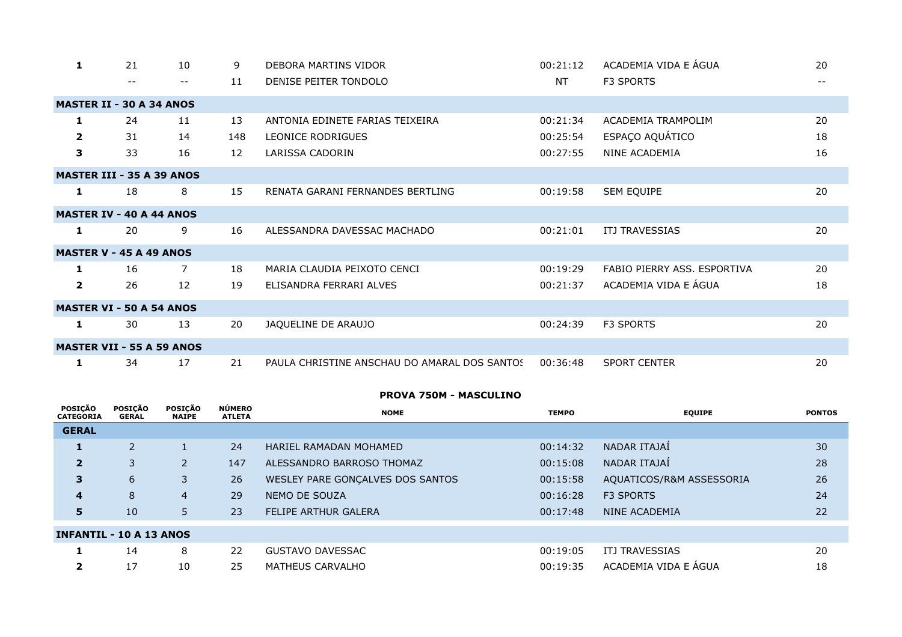| 1              | 21                               | 10                | 9   | DEBORA MARTINS VIDOR                         | 00:21:12  | ACADEMIA VIDA E ÁGUA        | 20    |
|----------------|----------------------------------|-------------------|-----|----------------------------------------------|-----------|-----------------------------|-------|
|                | $-$                              | $\qquad \qquad -$ | 11  | DENISE PEITER TONDOLO                        | <b>NT</b> | F3 SPORTS                   | $- -$ |
|                | <b>MASTER II - 30 A 34 ANOS</b>  |                   |     |                                              |           |                             |       |
| 1              | 24                               | 11                | 13  | ANTONIA EDINETE FARIAS TEIXEIRA              | 00:21:34  | <b>ACADEMIA TRAMPOLIM</b>   | 20    |
| $\overline{2}$ | 31                               | 14                | 148 | <b>LEONICE RODRIGUES</b>                     | 00:25:54  | ESPAÇO AQUÁTICO             | 18    |
| 3              | 33                               | 16                | 12  | LARISSA CADORIN                              | 00:27:55  | NINE ACADEMIA               | 16    |
|                | <b>MASTER III - 35 A 39 ANOS</b> |                   |     |                                              |           |                             |       |
| 1              | 18                               | 8                 | 15  | RENATA GARANI FERNANDES BERTLING             | 00:19:58  | SEM EQUIPE                  | 20    |
|                | <b>MASTER IV - 40 A 44 ANOS</b>  |                   |     |                                              |           |                             |       |
| 1              | 20                               | 9                 | 16  | ALESSANDRA DAVESSAC MACHADO                  | 00:21:01  | <b>ITJ TRAVESSIAS</b>       | 20    |
|                | <b>MASTER V - 45 A 49 ANOS</b>   |                   |     |                                              |           |                             |       |
| 1              | 16                               | $\overline{7}$    | 18  | MARIA CLAUDIA PEIXOTO CENCI                  | 00:19:29  | FABIO PIERRY ASS, ESPORTIVA | 20    |
| $\overline{2}$ | 26                               | 12                | 19  | ELISANDRA FERRARI ALVES                      | 00:21:37  | ACADEMIA VIDA E ÁGUA        | 18    |
|                | <b>MASTER VI - 50 A 54 ANOS</b>  |                   |     |                                              |           |                             |       |
| 1              | 30                               | 13                | 20  | JAQUELINE DE ARAUJO                          | 00:24:39  | F3 SPORTS                   | 20    |
|                | <b>MASTER VII - 55 A 59 ANOS</b> |                   |     |                                              |           |                             |       |
| 1              | 34                               | 17                | 21  | PAULA CHRISTINE ANSCHAU DO AMARAL DOS SANTOS | 00:36:48  | <b>SPORT CENTER</b>         | 20    |

# **PROVA 750M - MASCULINO**

| <b>POSICÃO</b><br><b>CATEGORIA</b> | <b>POSICÃO</b><br><b>GERAL</b> | <b>POSIÇÃO</b><br><b>NAIPE</b> | <b>NÚMERO</b><br><b>ATLETA</b> | <b>NOME</b>                      | <b>TEMPO</b> | <b>EQUIPE</b>            | <b>PONTOS</b> |
|------------------------------------|--------------------------------|--------------------------------|--------------------------------|----------------------------------|--------------|--------------------------|---------------|
| <b>GERAL</b>                       |                                |                                |                                |                                  |              |                          |               |
| 1                                  | $\overline{2}$                 |                                | 24                             | HARIEL RAMADAN MOHAMED           | 00:14:32     | NADAR ITAJAÍ             | 30            |
| $\overline{2}$                     | 3                              | $\overline{2}$                 | 147                            | ALESSANDRO BARROSO THOMAZ        | 00:15:08     | NADAR ITAJAİ             | 28            |
| 3                                  | 6                              | 3                              | 26                             | WESLEY PARE GONÇALVES DOS SANTOS | 00:15:58     | AQUATICOS/R&M ASSESSORIA | 26            |
| $\overline{4}$                     | 8                              | 4                              | 29                             | NEMO DE SOUZA                    | 00:16:28     | <b>F3 SPORTS</b>         | 24            |
| 5                                  | 10                             | 5                              | 23                             | <b>FELIPE ARTHUR GALERA</b>      | 00:17:48     | <b>NINE ACADEMIA</b>     | 22            |
| <b>INFANTIL - 10 A 13 ANOS</b>     |                                |                                |                                |                                  |              |                          |               |
|                                    | 14                             | 8                              | 22                             | GUSTAVO DAVESSAC                 | 00:19:05     | <b>ITJ TRAVESSIAS</b>    | 20            |
| 2                                  | 17                             | 10                             | 25                             | MATHEUS CARVALHO                 | 00:19:35     | ACADEMIA VIDA E ÁGUA     | 18            |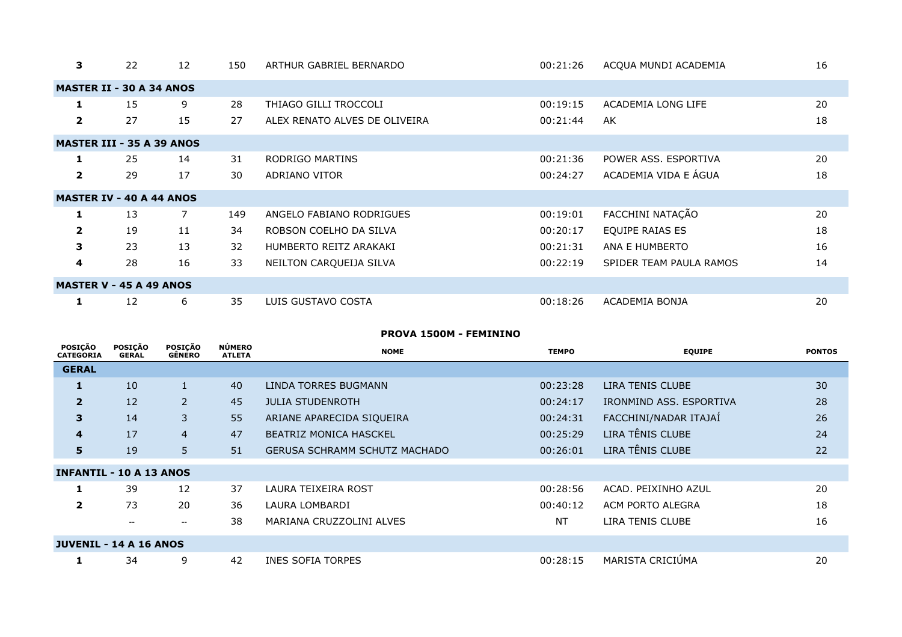| 3                       | 22                               | 12             | 150 | ARTHUR GABRIEL BERNARDO       | 00:21:26 | ACQUA MUNDI ACADEMIA    | 16 |
|-------------------------|----------------------------------|----------------|-----|-------------------------------|----------|-------------------------|----|
|                         | <b>MASTER II - 30 A 34 ANOS</b>  |                |     |                               |          |                         |    |
| 1                       | 15                               | 9              | 28  | THIAGO GILLI TROCCOLI         | 00:19:15 | ACADEMIA LONG LIFE      | 20 |
| $\mathbf{2}$            | 27                               | 15             | 27  | ALEX RENATO ALVES DE OLIVEIRA | 00:21:44 | AK                      | 18 |
|                         | <b>MASTER III - 35 A 39 ANOS</b> |                |     |                               |          |                         |    |
| 1                       | 25                               | 14             | 31  | RODRIGO MARTINS               | 00:21:36 | POWER ASS. ESPORTIVA    | 20 |
| $\overline{\mathbf{2}}$ | 29                               | 17             | 30  | ADRIANO VITOR                 | 00:24:27 | ACADEMIA VIDA E ÁGUA    | 18 |
|                         | <b>MASTER IV - 40 A 44 ANOS</b>  |                |     |                               |          |                         |    |
| 1                       | 13                               | $\overline{7}$ | 149 | ANGELO FABIANO RODRIGUES      | 00:19:01 | FACCHINI NATAÇÃO        | 20 |
| $\overline{2}$          | 19                               | 11             | 34  | ROBSON COELHO DA SILVA        | 00:20:17 | <b>EQUIPE RAIAS ES</b>  | 18 |
| 3                       | 23                               | 13             | 32  | HUMBERTO REITZ ARAKAKI        | 00:21:31 | ANA E HUMBERTO          | 16 |
| 4                       | 28                               | 16             | 33  | NEILTON CARQUEIJA SILVA       | 00:22:19 | SPIDER TEAM PAULA RAMOS | 14 |
|                         | <b>MASTER V - 45 A 49 ANOS</b>   |                |     |                               |          |                         |    |
| 1                       | 12                               | 6              | 35  | LUIS GUSTAVO COSTA            | 00:18:26 | ACADEMIA BONJA          | 20 |

#### **PROVA 1500M - FEMININO**

| <b>POSIÇÃO</b><br><b>CATEGORIA</b> | POSIÇÃO<br><b>GERAL</b> | <b>POSIÇÃO</b><br><b>GÊNERO</b> | <b>NÚMERO</b><br><b>ATLETA</b> | <b>NOME</b>                          | <b>TEMPO</b> | <b>EQUIPE</b>           | <b>PONTOS</b> |
|------------------------------------|-------------------------|---------------------------------|--------------------------------|--------------------------------------|--------------|-------------------------|---------------|
| <b>GERAL</b>                       |                         |                                 |                                |                                      |              |                         |               |
| 1                                  | 10                      | $\mathbf{1}$                    | 40                             | LINDA TORRES BUGMANN                 | 00:23:28     | LIRA TENIS CLUBE        | 30            |
| $\overline{2}$                     | 12                      | $\overline{2}$                  | 45                             | <b>JULIA STUDENROTH</b>              | 00:24:17     | IRONMIND ASS, ESPORTIVA | 28            |
| $\overline{\mathbf{3}}$            | 14                      | $\overline{3}$                  | 55                             | ARIANE APARECIDA SIQUEIRA            | 00:24:31     | FACCHINI/NADAR ITAJAÍ   | 26            |
| 4                                  | 17                      | $\overline{4}$                  | 47                             | <b>BEATRIZ MONICA HASCKEL</b>        | 00:25:29     | LIRA TÊNIS CLUBE        | 24            |
| 5 <sup>1</sup>                     | 19                      | 5                               | 51                             | <b>GERUSA SCHRAMM SCHUTZ MACHADO</b> | 00:26:01     | LIRA TÊNIS CLUBE        | 22            |
| <b>INFANTIL - 10 A 13 ANOS</b>     |                         |                                 |                                |                                      |              |                         |               |
| 1                                  | 39                      | 12                              | 37                             | LAURA TEIXEIRA ROST                  | 00:28:56     | ACAD. PEIXINHO AZUL     | 20            |
| $\overline{2}$                     | 73                      | 20                              | 36                             | LAURA LOMBARDI                       | 00:40:12     | ACM PORTO ALEGRA        | 18            |
|                                    | $\hspace{0.05cm}$       | $\overline{\phantom{m}}$        | 38                             | MARIANA CRUZZOLINI ALVES             | NT           | LIRA TENIS CLUBE        | 16            |
| <b>JUVENIL - 14 A 16 ANOS</b>      |                         |                                 |                                |                                      |              |                         |               |
| 1                                  | 34                      | 9                               | 42                             | <b>INES SOFIA TORPES</b>             | 00:28:15     | MARISTA CRICIUMA        | 20            |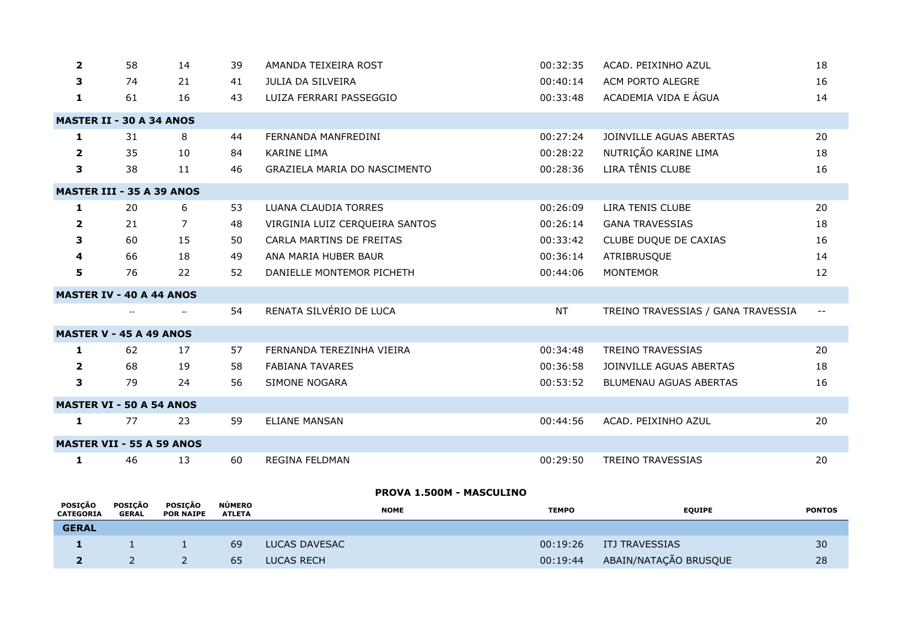| $\mathbf{2}$ | 58                               | 14 | 39 | AMANDA TEIXEIRA ROST           | 00:32:35  | ACAD. PEIXINHO AZUL                | 18    |
|--------------|----------------------------------|----|----|--------------------------------|-----------|------------------------------------|-------|
| 3            | 74                               | 21 | 41 | JULIA DA SILVEIRA              | 00:40:14  | ACM PORTO ALEGRE                   | 16    |
| $\mathbf{1}$ | 61                               | 16 | 43 | LUIZA FERRARI PASSEGGIO        | 00:33:48  | ACADEMIA VIDA E ÁGUA               | 14    |
|              | <b>MASTER II - 30 A 34 ANOS</b>  |    |    |                                |           |                                    |       |
| 1            | 31                               | 8  | 44 | FERNANDA MANFREDINI            | 00:27:24  | JOINVILLE AGUAS ABERTAS            | 20    |
| $\mathbf{2}$ | 35                               | 10 | 84 | <b>KARINE LIMA</b>             | 00:28:22  | NUTRIÇÃO KARINE LIMA               | 18    |
| 3            | 38                               | 11 | 46 | GRAZIELA MARIA DO NASCIMENTO   | 00:28:36  | LIRA TÊNIS CLUBE                   | 16    |
|              | <b>MASTER III - 35 A 39 ANOS</b> |    |    |                                |           |                                    |       |
| 1            | 20                               | 6  | 53 | <b>LUANA CLAUDIA TORRES</b>    | 00:26:09  | LIRA TENIS CLUBE                   | 20    |
| $\mathbf{2}$ | 21                               | 7  | 48 | VIRGINIA LUIZ CERQUEIRA SANTOS | 00:26:14  | <b>GANA TRAVESSIAS</b>             | 18    |
| 3            | 60                               | 15 | 50 | CARLA MARTINS DE FREITAS       | 00:33:42  | CLUBE DUQUE DE CAXIAS              | 16    |
| 4            | 66                               | 18 | 49 | ANA MARIA HUBER BAUR           | 00:36:14  | ATRIBRUSQUE                        | 14    |
| 5            | 76                               | 22 | 52 | DANIELLE MONTEMOR PICHETH      | 00:44:06  | <b>MONTEMOR</b>                    | 12    |
|              | <b>MASTER IV - 40 A 44 ANOS</b>  |    |    |                                |           |                                    |       |
|              |                                  |    | 54 | RENATA SILVÉRIO DE LUCA        | <b>NT</b> | TREINO TRAVESSIAS / GANA TRAVESSIA | $- -$ |
|              | <b>MASTER V - 45 A 49 ANOS</b>   |    |    |                                |           |                                    |       |
| 1            | 62                               | 17 | 57 | FERNANDA TEREZINHA VIEIRA      | 00:34:48  | <b>TREINO TRAVESSIAS</b>           | 20    |
| $\mathbf{2}$ | 68                               | 19 | 58 | <b>FABIANA TAVARES</b>         | 00:36:58  | JOINVILLE AGUAS ABERTAS            | 18    |
| 3            | 79                               | 24 | 56 | SIMONE NOGARA                  | 00:53:52  | BLUMENAU AGUAS ABERTAS             | 16    |
|              | <b>MASTER VI - 50 A 54 ANOS</b>  |    |    |                                |           |                                    |       |
| $\mathbf{1}$ | 77                               | 23 | 59 | <b>ELIANE MANSAN</b>           | 00:44:56  | ACAD. PEIXINHO AZUL                | 20    |
|              | <b>MASTER VII - 55 A 59 ANOS</b> |    |    |                                |           |                                    |       |
| 1            | 46                               | 13 | 60 | REGINA FELDMAN                 | 00:29:50  | <b>TREINO TRAVESSIAS</b>           | 20    |

# **PROVA 1.500M - MASCULINO**

| <b>POSICÃO</b><br><b>CATEGORIA</b> | <b>POSICÃO</b><br>GERAL | <b>POSICÃO</b><br><b>POR NAIPE</b> | <b>NÚMERO</b><br><b>ATLETA</b> | <b>NOME</b>   | <b>TEMPO</b> | <b>EQUIPE</b>         | <b>PONTOS</b> |
|------------------------------------|-------------------------|------------------------------------|--------------------------------|---------------|--------------|-----------------------|---------------|
| <b>GERAL</b>                       |                         |                                    |                                |               |              |                       |               |
|                                    |                         |                                    | 69                             | LUCAS DAVESAC | 00:19:26     | ITJ TRAVESSIAS        | 30            |
|                                    |                         |                                    | 65                             | LUCAS RECH    | 00:19:44     | ABAIN/NATAÇÃO BRUSQUE | 28            |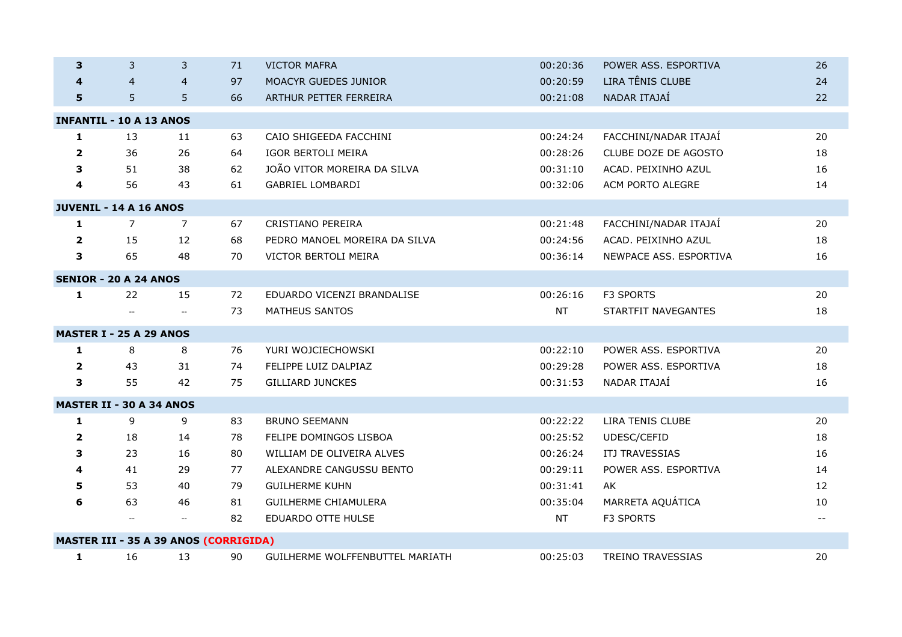| 3              | 3                                            | 3                                             | 71 | <b>VICTOR MAFRA</b>             | 00:20:36  | POWER ASS. ESPORTIVA     | 26    |
|----------------|----------------------------------------------|-----------------------------------------------|----|---------------------------------|-----------|--------------------------|-------|
|                | $\overline{4}$                               | $\overline{4}$                                | 97 | MOACYR GUEDES JUNIOR            | 00:20:59  | LIRA TÊNIS CLUBE         | 24    |
| 5              | 5                                            | 5                                             | 66 | ARTHUR PETTER FERREIRA          | 00:21:08  | NADAR ITAJAÍ             | 22    |
|                | <b>INFANTIL - 10 A 13 ANOS</b>               |                                               |    |                                 |           |                          |       |
| $\mathbf{1}$   | 13                                           | 11                                            | 63 | CAIO SHIGEEDA FACCHINI          | 00:24:24  | FACCHINI/NADAR ITAJAÍ    | 20    |
| $\overline{2}$ | 36                                           | 26                                            | 64 | IGOR BERTOLI MEIRA              | 00:28:26  | CLUBE DOZE DE AGOSTO     | 18    |
| 3              | 51                                           | 38                                            | 62 | JOÃO VITOR MOREIRA DA SILVA     | 00:31:10  | ACAD. PEIXINHO AZUL      | 16    |
| 4              | 56                                           | 43                                            | 61 | <b>GABRIEL LOMBARDI</b>         | 00:32:06  | ACM PORTO ALEGRE         | 14    |
|                | JUVENIL - 14 A 16 ANOS                       |                                               |    |                                 |           |                          |       |
| $\mathbf{1}$   | $\overline{7}$                               | $\overline{7}$                                | 67 | CRISTIANO PEREIRA               | 00:21:48  | FACCHINI/NADAR ITAJAÍ    | 20    |
| $\overline{2}$ | 15                                           | 12                                            | 68 | PEDRO MANOEL MOREIRA DA SILVA   | 00:24:56  | ACAD. PEIXINHO AZUL      | 18    |
| 3              | 65                                           | 48                                            | 70 | VICTOR BERTOLI MEIRA            | 00:36:14  | NEWPACE ASS. ESPORTIVA   | 16    |
|                | <b>SENIOR - 20 A 24 ANOS</b>                 |                                               |    |                                 |           |                          |       |
| 1              | 22                                           | 15                                            | 72 | EDUARDO VICENZI BRANDALISE      | 00:26:16  | F3 SPORTS                | 20    |
|                |                                              | $\overline{a}$                                | 73 | <b>MATHEUS SANTOS</b>           | <b>NT</b> | STARTFIT NAVEGANTES      | 18    |
|                | <b>MASTER I - 25 A 29 ANOS</b>               |                                               |    |                                 |           |                          |       |
| $\mathbf{1}$   | 8                                            | 8                                             | 76 | YURI WOJCIECHOWSKI              | 00:22:10  | POWER ASS. ESPORTIVA     | 20    |
| $\overline{2}$ | 43                                           | 31                                            | 74 | FELIPPE LUIZ DALPIAZ            | 00:29:28  | POWER ASS. ESPORTIVA     | 18    |
| 3              | 55                                           | 42                                            | 75 | <b>GILLIARD JUNCKES</b>         | 00:31:53  | NADAR ITAJAÍ             | 16    |
|                | <b>MASTER II - 30 A 34 ANOS</b>              |                                               |    |                                 |           |                          |       |
| 1              | 9                                            | 9                                             | 83 | <b>BRUNO SEEMANN</b>            | 00:22:22  | LIRA TENIS CLUBE         | 20    |
| $\overline{2}$ | 18                                           | 14                                            | 78 | FELIPE DOMINGOS LISBOA          | 00:25:52  | UDESC/CEFID              | 18    |
| 3              | 23                                           | 16                                            | 80 | WILLIAM DE OLIVEIRA ALVES       | 00:26:24  | ITJ TRAVESSIAS           | 16    |
| 4              | 41                                           | 29                                            | 77 | ALEXANDRE CANGUSSU BENTO        | 00:29:11  | POWER ASS. ESPORTIVA     | 14    |
| 5              | 53                                           | 40                                            | 79 | <b>GUILHERME KUHN</b>           | 00:31:41  | AK                       | 12    |
| 6              | 63                                           | 46                                            | 81 | <b>GUILHERME CHIAMULERA</b>     | 00:35:04  | MARRETA AQUÁTICA         | 10    |
|                | $\overline{\phantom{a}}$                     | $\mathord{\hspace{1pt}\text{--}\hspace{1pt}}$ | 82 | EDUARDO OTTE HULSE              | <b>NT</b> | F3 SPORTS                | $- -$ |
|                | <b>MASTER III - 35 A 39 ANOS (CORRIGIDA)</b> |                                               |    |                                 |           |                          |       |
| 1              | 16                                           | 13                                            | 90 | GUILHERME WOLFFENBUTTEL MARIATH | 00:25:03  | <b>TREINO TRAVESSIAS</b> | 20    |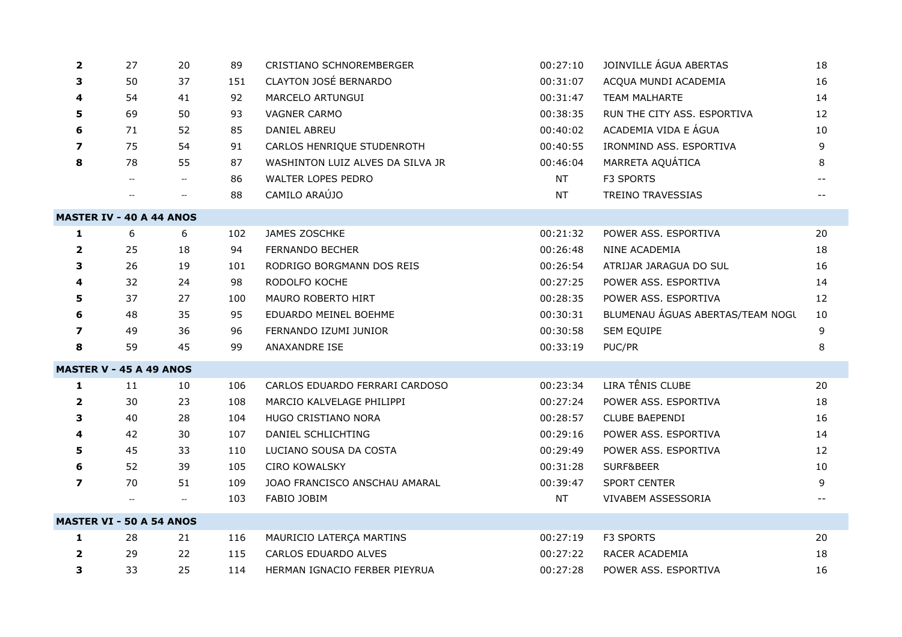| $\overline{\mathbf{2}}$ | 27                              | 20             | 89  | CRISTIANO SCHNOREMBERGER         | 00:27:10  | JOINVILLE ÁGUA ABERTAS           | 18 |
|-------------------------|---------------------------------|----------------|-----|----------------------------------|-----------|----------------------------------|----|
| З                       | 50                              | 37             | 151 | CLAYTON JOSÉ BERNARDO            | 00:31:07  | ACQUA MUNDI ACADEMIA             | 16 |
| 4                       | 54                              | 41             | 92  | MARCELO ARTUNGUI                 | 00:31:47  | <b>TEAM MALHARTE</b>             | 14 |
| 5                       | 69                              | 50             | 93  | VAGNER CARMO                     | 00:38:35  | RUN THE CITY ASS. ESPORTIVA      | 12 |
| 6                       | 71                              | 52             | 85  | DANIEL ABREU                     | 00:40:02  | ACADEMIA VIDA E ÁGUA             | 10 |
| $\overline{\mathbf{z}}$ | 75                              | 54             | 91  | CARLOS HENRIQUE STUDENROTH       | 00:40:55  | IRONMIND ASS, ESPORTIVA          | 9  |
| 8                       | 78                              | 55             | 87  | WASHINTON LUIZ ALVES DA SILVA JR | 00:46:04  | MARRETA AQUÁTICA                 | 8  |
|                         |                                 | $\sim$         | 86  | WALTER LOPES PEDRO               | <b>NT</b> | F3 SPORTS                        |    |
|                         | $\overline{a}$                  | $\overline{a}$ | 88  | CAMILO ARAÚJO                    | <b>NT</b> | <b>TREINO TRAVESSIAS</b>         |    |
|                         | <b>MASTER IV - 40 A 44 ANOS</b> |                |     |                                  |           |                                  |    |
| 1                       | 6                               | 6              | 102 | JAMES ZOSCHKE                    | 00:21:32  | POWER ASS. ESPORTIVA             | 20 |
| $\overline{\mathbf{2}}$ | 25                              | 18             | 94  | FERNANDO BECHER                  | 00:26:48  | NINE ACADEMIA                    | 18 |
| 3                       | 26                              | 19             | 101 | RODRIGO BORGMANN DOS REIS        | 00:26:54  | ATRIJAR JARAGUA DO SUL           | 16 |
| 4                       | 32                              | 24             | 98  | RODOLFO KOCHE                    | 00:27:25  | POWER ASS. ESPORTIVA             | 14 |
| 5                       | 37                              | 27             | 100 | MAURO ROBERTO HIRT               | 00:28:35  | POWER ASS. ESPORTIVA             | 12 |
| 6                       | 48                              | 35             | 95  | EDUARDO MEINEL BOEHME            | 00:30:31  | BLUMENAU ÁGUAS ABERTAS/TEAM NOGL | 10 |
| $\boldsymbol{7}$        | 49                              | 36             | 96  | FERNANDO IZUMI JUNIOR            | 00:30:58  | SEM EQUIPE                       | 9  |
| 8                       | 59                              | 45             | 99  | ANAXANDRE ISE                    | 00:33:19  | PUC/PR                           | 8  |
|                         | <b>MASTER V - 45 A 49 ANOS</b>  |                |     |                                  |           |                                  |    |
| $\mathbf{1}$            | 11                              | 10             | 106 | CARLOS EDUARDO FERRARI CARDOSO   | 00:23:34  | LIRA TÊNIS CLUBE                 | 20 |
| $\mathbf{2}$            | 30                              | 23             | 108 | MARCIO KALVELAGE PHILIPPI        | 00:27:24  | POWER ASS. ESPORTIVA             | 18 |
| 3                       | 40                              | 28             | 104 | HUGO CRISTIANO NORA              | 00:28:57  | <b>CLUBE BAEPENDI</b>            | 16 |
| 4                       | 42                              | 30             | 107 | DANIEL SCHLICHTING               | 00:29:16  | POWER ASS. ESPORTIVA             | 14 |
| 5                       | 45                              | 33             | 110 | LUCIANO SOUSA DA COSTA           | 00:29:49  | POWER ASS. ESPORTIVA             | 12 |
| 6                       | 52                              | 39             | 105 | <b>CIRO KOWALSKY</b>             | 00:31:28  | SURF&BEER                        | 10 |
| $\overline{\mathbf{z}}$ | 70                              | 51             | 109 | JOAO FRANCISCO ANSCHAU AMARAL    | 00:39:47  | SPORT CENTER                     | 9  |
|                         |                                 | $\sim$         | 103 | FABIO JOBIM                      | <b>NT</b> | VIVABEM ASSESSORIA               |    |
|                         | <b>MASTER VI - 50 A 54 ANOS</b> |                |     |                                  |           |                                  |    |
| 1                       | 28                              | 21             | 116 | MAURICIO LATERÇA MARTINS         | 00:27:19  | F3 SPORTS                        | 20 |
| 2                       | 29                              | 22             | 115 | CARLOS EDUARDO ALVES             | 00:27:22  | RACER ACADEMIA                   | 18 |
| 3                       | 33                              | 25             | 114 | HERMAN IGNACIO FERBER PIEYRUA    | 00:27:28  | POWER ASS. ESPORTIVA             | 16 |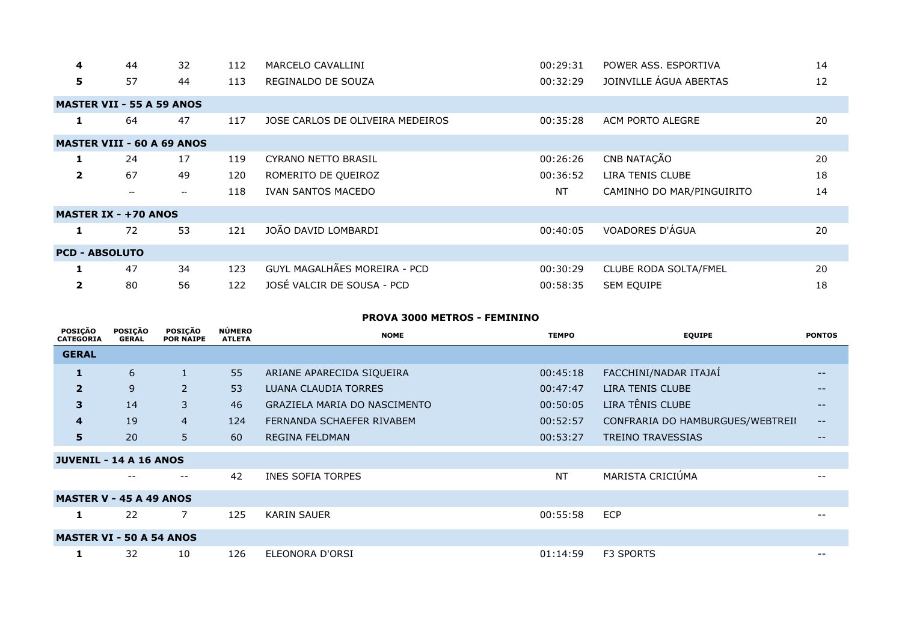| 4                       | 44                                | 32    | 112 | MARCELO CAVALLINI                | 00:29:31  | POWER ASS, ESPORTIVA      | 14 |
|-------------------------|-----------------------------------|-------|-----|----------------------------------|-----------|---------------------------|----|
| 5                       | 57                                | 44    | 113 | REGINALDO DE SOUZA               | 00:32:29  | JOINVILLE ÁGUA ABERTAS    | 12 |
|                         | <b>MASTER VII - 55 A 59 ANOS</b>  |       |     |                                  |           |                           |    |
| 1.                      | 64                                | 47    | 117 | JOSE CARLOS DE OLIVEIRA MEDEIROS | 00:35:28  | ACM PORTO ALEGRE          | 20 |
|                         | <b>MASTER VIII - 60 A 69 ANOS</b> |       |     |                                  |           |                           |    |
| 1                       | 24                                | 17    | 119 | <b>CYRANO NETTO BRASIL</b>       | 00:26:26  | CNB NATAÇÃO               | 20 |
| $\overline{2}$          | 67                                | 49    | 120 | ROMERITO DE QUEIROZ              | 00:36:52  | LIRA TENIS CLUBE          | 18 |
|                         | $\overline{\phantom{m}}$          | $- -$ | 118 | <b>IVAN SANTOS MACEDO</b>        | <b>NT</b> | CAMINHO DO MAR/PINGUIRITO | 14 |
|                         | <b>MASTER IX - +70 ANOS</b>       |       |     |                                  |           |                           |    |
| 1                       | 72                                | 53    | 121 | JOÃO DAVID LOMBARDI              | 00:40:05  | VOADORES D'ÁGUA           | 20 |
| <b>PCD - ABSOLUTO</b>   |                                   |       |     |                                  |           |                           |    |
| 1                       | 47                                | 34    | 123 | GUYL MAGALHÃES MOREIRA - PCD     | 00:30:29  | CLUBE RODA SOLTA/FMEL     | 20 |
| $\overline{\mathbf{2}}$ | 80                                | 56    | 122 | JOSÉ VALCIR DE SOUSA - PCD       | 00:58:35  | SEM EQUIPE                | 18 |

#### **PROVA 3000 METROS - FEMININO**

| <b>POSIÇÃO</b><br><b>CATEGORIA</b> | <b>POSIÇÃO</b><br><b>GERAL</b> | <b>POSIÇÃO</b><br><b>POR NAIPE</b> | <b>NÚMERO</b><br><b>ATLETA</b> | <b>NOME</b>                  | <b>TEMPO</b> | <b>EQUIPE</b>                    | <b>PONTOS</b>     |
|------------------------------------|--------------------------------|------------------------------------|--------------------------------|------------------------------|--------------|----------------------------------|-------------------|
| <b>GERAL</b>                       |                                |                                    |                                |                              |              |                                  |                   |
| 1                                  | 6                              |                                    | 55                             | ARIANE APARECIDA SIQUEIRA    | 00:45:18     | FACCHINI/NADAR ITAJAÍ            | $- -$             |
| $\overline{2}$                     | 9                              | $\overline{2}$                     | 53                             | LUANA CLAUDIA TORRES         | 00:47:47     | LIRA TENIS CLUBE                 | $- -$             |
| 3                                  | 14                             | 3                                  | 46                             | GRAZIELA MARIA DO NASCIMENTO | 00:50:05     | LIRA TÊNIS CLUBE                 | $- -$             |
| 4                                  | 19                             | $\overline{4}$                     | 124                            | FERNANDA SCHAEFER RIVABEM    | 00:52:57     | CONFRARIA DO HAMBURGUES/WEBTREII | $\qquad \qquad -$ |
| 5                                  | 20                             | 5                                  | 60                             | <b>REGINA FELDMAN</b>        | 00:53:27     | <b>TREINO TRAVESSIAS</b>         | $- -$             |
| <b>JUVENIL - 14 A 16 ANOS</b>      |                                |                                    |                                |                              |              |                                  |                   |
|                                    | $- -$                          | $- -$                              | 42                             | <b>INES SOFIA TORPES</b>     | <b>NT</b>    | MARISTA CRICIÚMA                 |                   |
| <b>MASTER V - 45 A 49 ANOS</b>     |                                |                                    |                                |                              |              |                                  |                   |
| 1                                  | 22                             | 7                                  | 125                            | <b>KARIN SAUER</b>           | 00:55:58     | <b>ECP</b>                       | $- -$             |
| <b>MASTER VI - 50 A 54 ANOS</b>    |                                |                                    |                                |                              |              |                                  |                   |
| 1                                  | 32                             | 10                                 | 126                            | ELEONORA D'ORSI              | 01:14:59     | <b>F3 SPORTS</b>                 | $- -$             |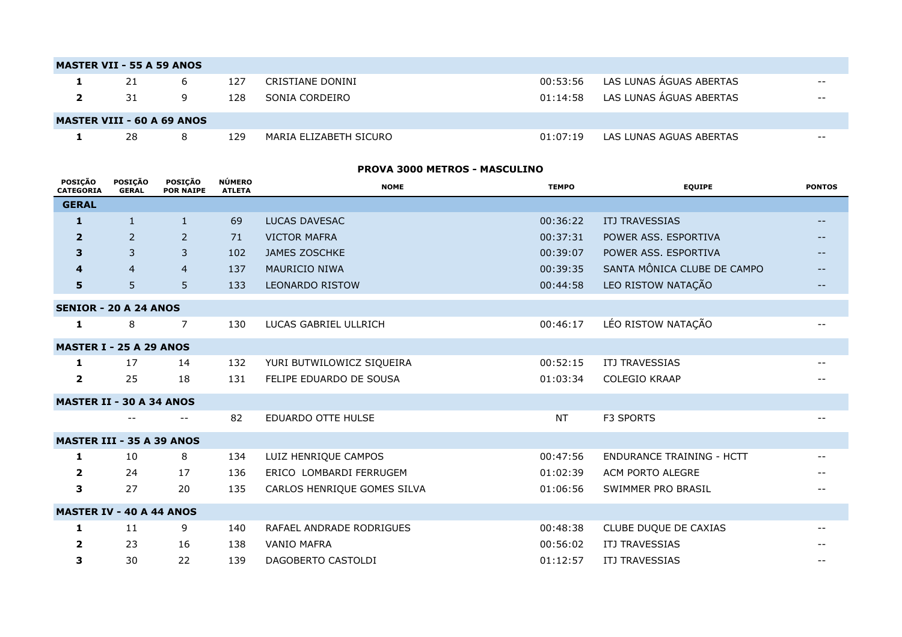|                                      | <b>CEDAL</b>                       |                         |                             |                                |                        |              |                         |               |
|--------------------------------------|------------------------------------|-------------------------|-----------------------------|--------------------------------|------------------------|--------------|-------------------------|---------------|
|                                      | <b>POSICÃO</b><br><b>CATEGORIA</b> | POSICÃO<br><b>GERAL</b> | POSICÃO<br><b>POR NAIPE</b> | <b>NÚMERO</b><br><b>ATLETA</b> | <b>NOME</b>            | <b>TEMPO</b> | <b>EQUIPE</b>           | <b>PONTOS</b> |
| <b>PROVA 3000 METROS - MASCULINO</b> |                                    |                         |                             |                                |                        |              |                         |               |
|                                      |                                    |                         |                             |                                |                        |              |                         |               |
|                                      | п.                                 | 28                      | 8                           | 129                            | MARIA ELIZABETH SICURO | 01:07:19     | LAS LUNAS AGUAS ABERTAS | $- -$         |
| <b>MASTER VIII - 60 A 69 ANOS</b>    |                                    |                         |                             |                                |                        |              |                         |               |
|                                      |                                    |                         |                             |                                |                        |              |                         |               |
|                                      | $\overline{2}$                     | 31                      | 9                           | 128                            | SONIA CORDEIRO         | 01:14:58     | LAS LUNAS ÁGUAS ABERTAS | $- -$         |
|                                      | 1                                  | 21                      | 6                           | 127                            | CRISTIANE DONINI       | 00:53:56     | LAS LUNAS ÁGUAS ABERTAS | $- -$         |
|                                      | <b>MASTER VII - 55 A 59 ANOS</b>   |                         |                             |                                |                        |              |                         |               |
|                                      |                                    |                         |                             |                                |                        |              |                         |               |

| <b>GERAL</b>                 |                                  |                |     |                             |           |                                  |       |  |
|------------------------------|----------------------------------|----------------|-----|-----------------------------|-----------|----------------------------------|-------|--|
| 1                            | $\mathbf{1}$                     | $\mathbf{1}$   | 69  | <b>LUCAS DAVESAC</b>        | 00:36:22  | <b>ITJ TRAVESSIAS</b>            |       |  |
| $\overline{2}$               | 2                                | $\overline{2}$ | 71  | <b>VICTOR MAFRA</b>         | 00:37:31  | POWER ASS. ESPORTIVA             | $--$  |  |
| 3                            | 3                                | 3              | 102 | <b>JAMES ZOSCHKE</b>        | 00:39:07  | POWER ASS. ESPORTIVA             |       |  |
| 4                            | $\overline{4}$                   | $\overline{4}$ | 137 | MAURICIO NIWA               | 00:39:35  | SANTA MÔNICA CLUBE DE CAMPO      |       |  |
| 5                            | 5                                | 5              | 133 | <b>LEONARDO RISTOW</b>      | 00:44:58  | LEO RISTOW NATAÇÃO               |       |  |
| <b>SENIOR - 20 A 24 ANOS</b> |                                  |                |     |                             |           |                                  |       |  |
| 1                            | 8                                | $\overline{7}$ | 130 | LUCAS GABRIEL ULLRICH       | 00:46:17  | LÉO RISTOW NATAÇÃO               | $- -$ |  |
|                              | <b>MASTER I - 25 A 29 ANOS</b>   |                |     |                             |           |                                  |       |  |
| 1                            | 17                               | 14             | 132 | YURI BUTWILOWICZ SIQUEIRA   | 00:52:15  | ITJ TRAVESSIAS                   |       |  |
| $\overline{\mathbf{2}}$      | 25                               | 18             | 131 | FELIPE EDUARDO DE SOUSA     | 01:03:34  | <b>COLEGIO KRAAP</b>             |       |  |
|                              | <b>MASTER II - 30 A 34 ANOS</b>  |                |     |                             |           |                                  |       |  |
|                              | $- -$                            |                | 82  | <b>EDUARDO OTTE HULSE</b>   | <b>NT</b> | F3 SPORTS                        |       |  |
|                              | <b>MASTER III - 35 A 39 ANOS</b> |                |     |                             |           |                                  |       |  |
| 1                            | 10                               | 8              | 134 | LUIZ HENRIQUE CAMPOS        | 00:47:56  | <b>ENDURANCE TRAINING - HCTT</b> |       |  |
| $\overline{2}$               | 24                               | 17             | 136 | ERICO LOMBARDI FERRUGEM     | 01:02:39  | ACM PORTO ALEGRE                 |       |  |
| 3                            | 27                               | 20             | 135 | CARLOS HENRIQUE GOMES SILVA | 01:06:56  | SWIMMER PRO BRASIL               |       |  |
|                              | <b>MASTER IV - 40 A 44 ANOS</b>  |                |     |                             |           |                                  |       |  |
| 1                            | 11                               | 9              | 140 | RAFAEL ANDRADE RODRIGUES    | 00:48:38  | CLUBE DUQUE DE CAXIAS            |       |  |
| $\mathbf{2}$                 | 23                               | 16             | 138 | <b>VANIO MAFRA</b>          | 00:56:02  | <b>ITJ TRAVESSIAS</b>            |       |  |
| 3                            | 30                               | 22             | 139 | DAGOBERTO CASTOLDI          | 01:12:57  | <b>ITJ TRAVESSIAS</b>            |       |  |